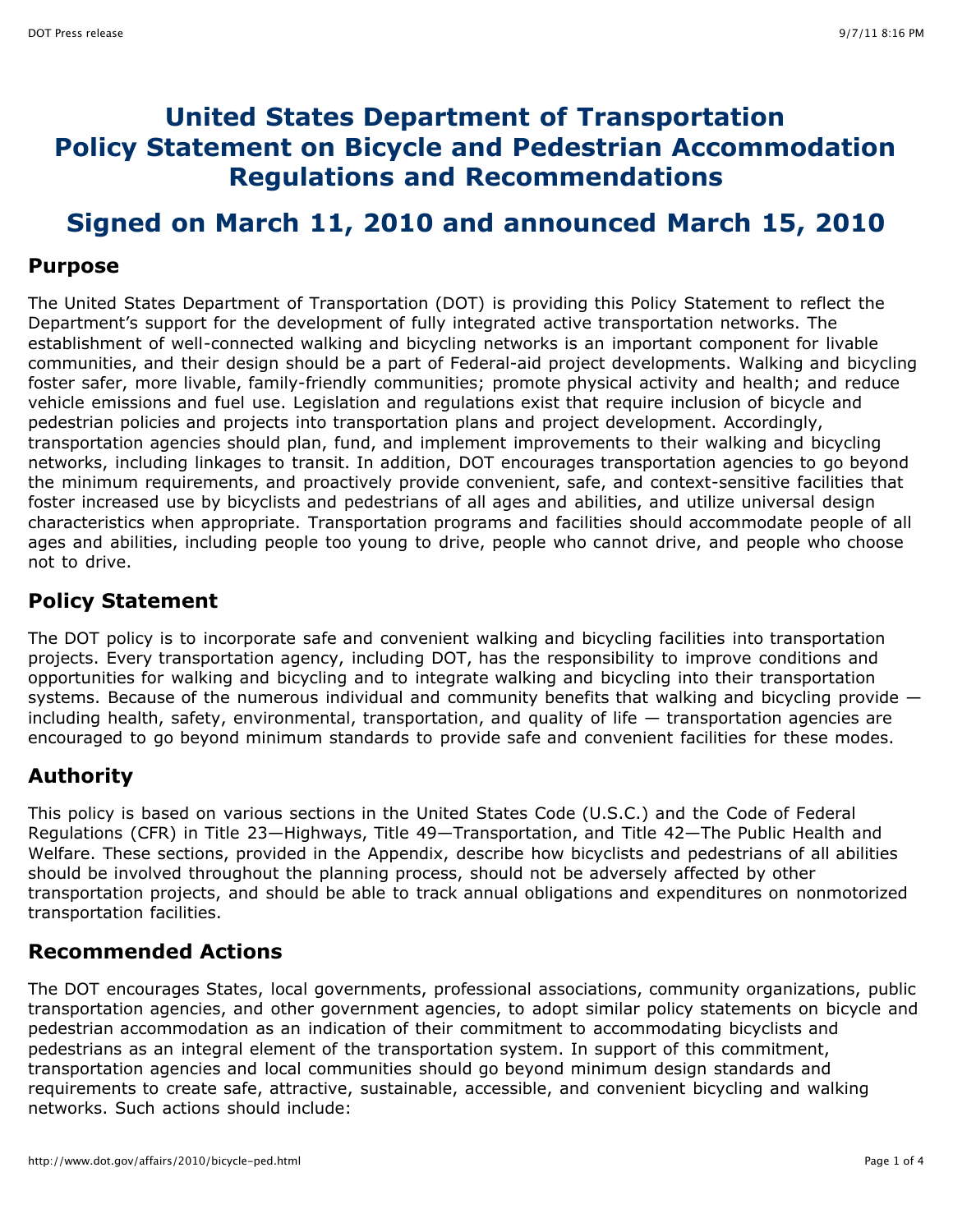# **United States Department of Transportation Policy Statement on Bicycle and Pedestrian Accommodation Regulations and Recommendations**

# **Signed on March 11, 2010 and announced March 15, 2010**

### **Purpose**

The United States Department of Transportation (DOT) is providing this Policy Statement to reflect the Department's support for the development of fully integrated active transportation networks. The establishment of well-connected walking and bicycling networks is an important component for livable communities, and their design should be a part of Federal-aid project developments. Walking and bicycling foster safer, more livable, family-friendly communities; promote physical activity and health; and reduce vehicle emissions and fuel use. Legislation and regulations exist that require inclusion of bicycle and pedestrian policies and projects into transportation plans and project development. Accordingly, transportation agencies should plan, fund, and implement improvements to their walking and bicycling networks, including linkages to transit. In addition, DOT encourages transportation agencies to go beyond the minimum requirements, and proactively provide convenient, safe, and context-sensitive facilities that foster increased use by bicyclists and pedestrians of all ages and abilities, and utilize universal design characteristics when appropriate. Transportation programs and facilities should accommodate people of all ages and abilities, including people too young to drive, people who cannot drive, and people who choose not to drive.

## **Policy Statement**

The DOT policy is to incorporate safe and convenient walking and bicycling facilities into transportation projects. Every transportation agency, including DOT, has the responsibility to improve conditions and opportunities for walking and bicycling and to integrate walking and bicycling into their transportation systems. Because of the numerous individual and community benefits that walking and bicycling provide – including health, safety, environmental, transportation, and quality of life — transportation agencies are encouraged to go beyond minimum standards to provide safe and convenient facilities for these modes.

# **Authority**

This policy is based on various sections in the United States Code (U.S.C.) and the Code of Federal Regulations (CFR) in Title 23—Highways, Title 49—Transportation, and Title 42—The Public Health and Welfare. These sections, provided in the Appendix, describe how bicyclists and pedestrians of all abilities should be involved throughout the planning process, should not be adversely affected by other transportation projects, and should be able to track annual obligations and expenditures on nonmotorized transportation facilities.

# **Recommended Actions**

The DOT encourages States, local governments, professional associations, community organizations, public transportation agencies, and other government agencies, to adopt similar policy statements on bicycle and pedestrian accommodation as an indication of their commitment to accommodating bicyclists and pedestrians as an integral element of the transportation system. In support of this commitment, transportation agencies and local communities should go beyond minimum design standards and requirements to create safe, attractive, sustainable, accessible, and convenient bicycling and walking networks. Such actions should include: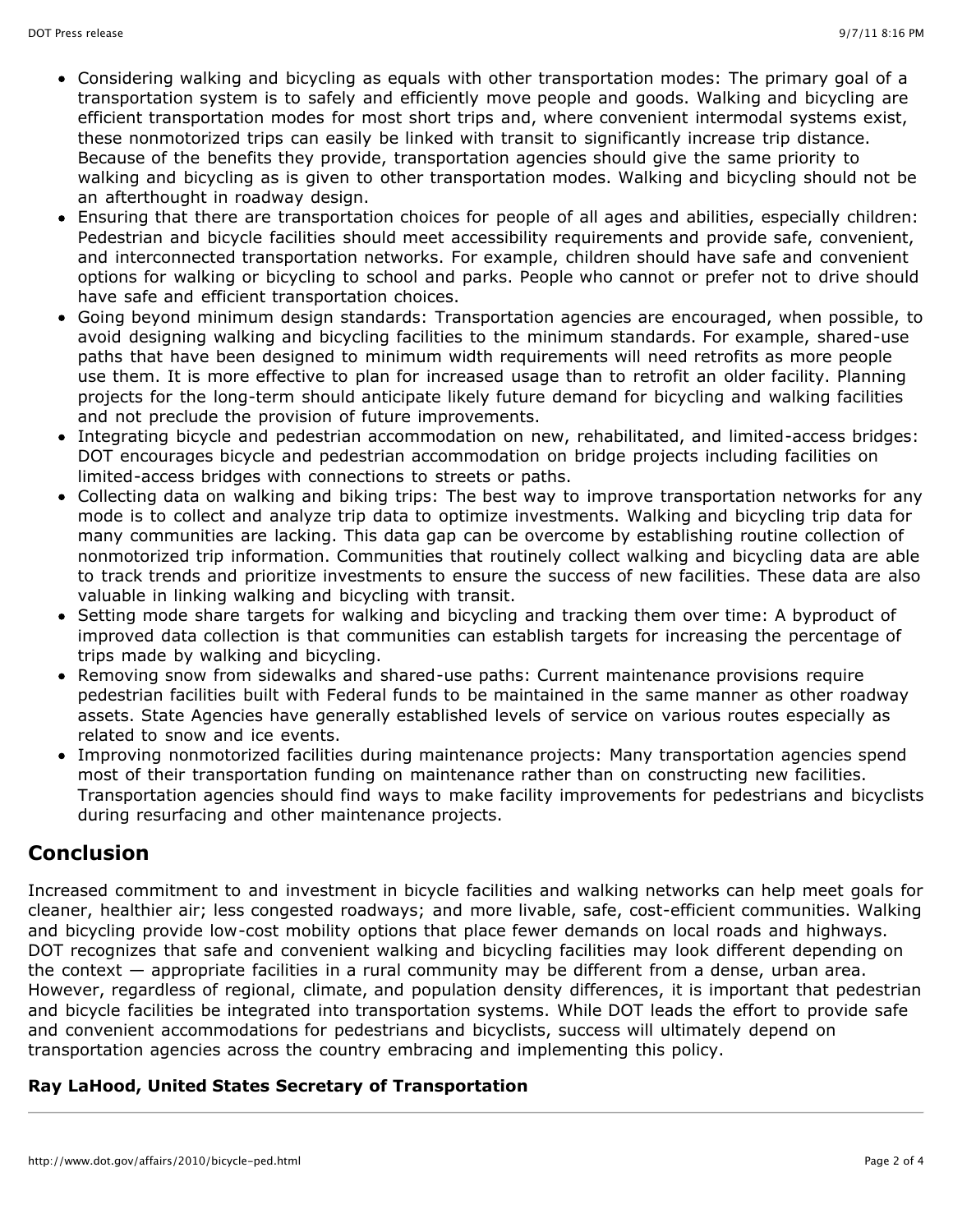- Considering walking and bicycling as equals with other transportation modes: The primary goal of a transportation system is to safely and efficiently move people and goods. Walking and bicycling are efficient transportation modes for most short trips and, where convenient intermodal systems exist, these nonmotorized trips can easily be linked with transit to significantly increase trip distance. Because of the benefits they provide, transportation agencies should give the same priority to walking and bicycling as is given to other transportation modes. Walking and bicycling should not be an afterthought in roadway design.
- Ensuring that there are transportation choices for people of all ages and abilities, especially children: Pedestrian and bicycle facilities should meet accessibility requirements and provide safe, convenient, and interconnected transportation networks. For example, children should have safe and convenient options for walking or bicycling to school and parks. People who cannot or prefer not to drive should have safe and efficient transportation choices.
- Going beyond minimum design standards: Transportation agencies are encouraged, when possible, to avoid designing walking and bicycling facilities to the minimum standards. For example, shared-use paths that have been designed to minimum width requirements will need retrofits as more people use them. It is more effective to plan for increased usage than to retrofit an older facility. Planning projects for the long-term should anticipate likely future demand for bicycling and walking facilities and not preclude the provision of future improvements.
- Integrating bicycle and pedestrian accommodation on new, rehabilitated, and limited-access bridges: DOT encourages bicycle and pedestrian accommodation on bridge projects including facilities on limited-access bridges with connections to streets or paths.
- Collecting data on walking and biking trips: The best way to improve transportation networks for any mode is to collect and analyze trip data to optimize investments. Walking and bicycling trip data for many communities are lacking. This data gap can be overcome by establishing routine collection of nonmotorized trip information. Communities that routinely collect walking and bicycling data are able to track trends and prioritize investments to ensure the success of new facilities. These data are also valuable in linking walking and bicycling with transit.
- Setting mode share targets for walking and bicycling and tracking them over time: A byproduct of improved data collection is that communities can establish targets for increasing the percentage of trips made by walking and bicycling.
- Removing snow from sidewalks and shared-use paths: Current maintenance provisions require pedestrian facilities built with Federal funds to be maintained in the same manner as other roadway assets. State Agencies have generally established levels of service on various routes especially as related to snow and ice events.
- Improving nonmotorized facilities during maintenance projects: Many transportation agencies spend most of their transportation funding on maintenance rather than on constructing new facilities. Transportation agencies should find ways to make facility improvements for pedestrians and bicyclists during resurfacing and other maintenance projects.

# **Conclusion**

Increased commitment to and investment in bicycle facilities and walking networks can help meet goals for cleaner, healthier air; less congested roadways; and more livable, safe, cost-efficient communities. Walking and bicycling provide low-cost mobility options that place fewer demands on local roads and highways. DOT recognizes that safe and convenient walking and bicycling facilities may look different depending on the context — appropriate facilities in a rural community may be different from a dense, urban area. However, regardless of regional, climate, and population density differences, it is important that pedestrian and bicycle facilities be integrated into transportation systems. While DOT leads the effort to provide safe and convenient accommodations for pedestrians and bicyclists, success will ultimately depend on transportation agencies across the country embracing and implementing this policy.

## **Ray LaHood, United States Secretary of Transportation**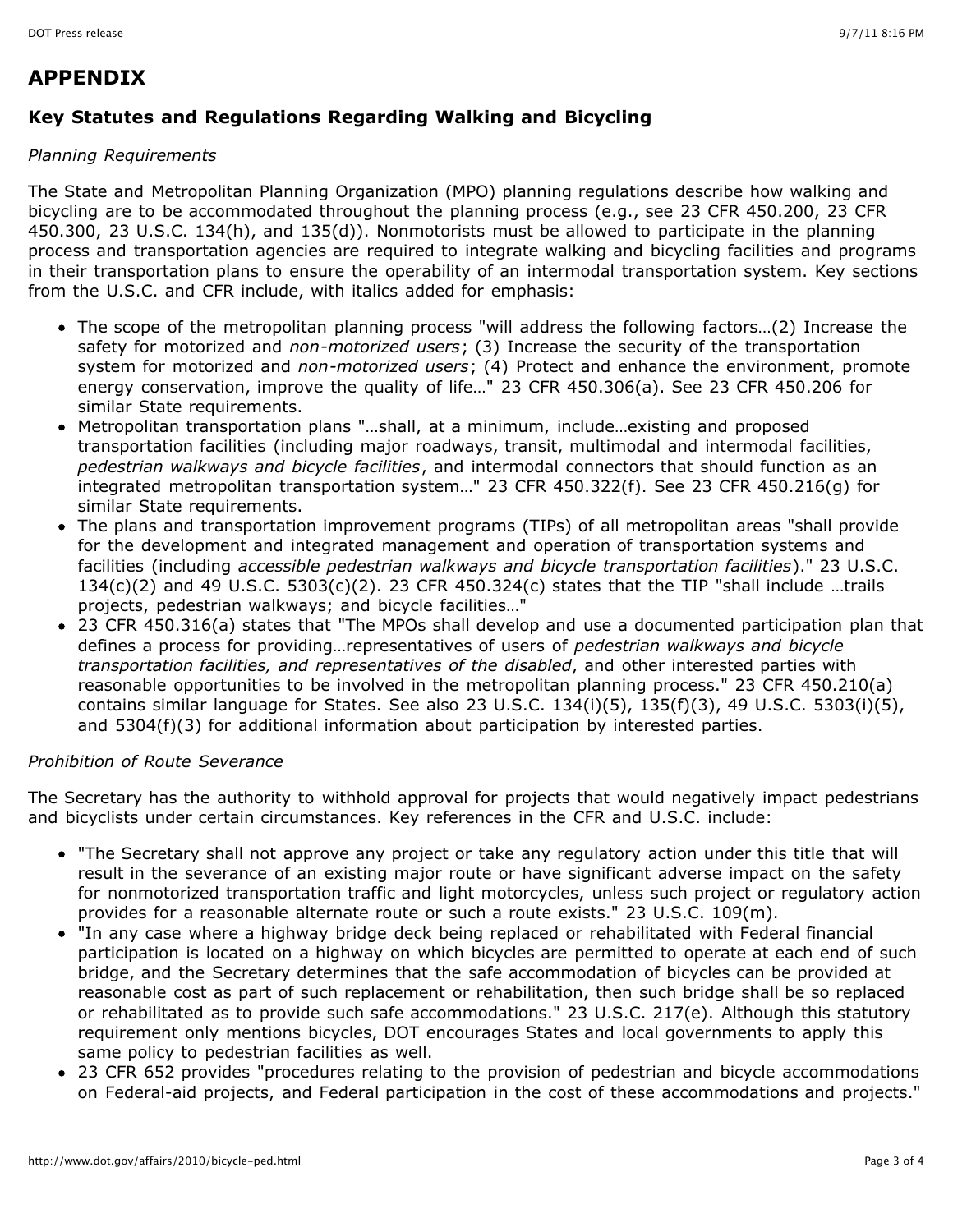# **APPENDIX**

## **Key Statutes and Regulations Regarding Walking and Bicycling**

#### *Planning Requirements*

The State and Metropolitan Planning Organization (MPO) planning regulations describe how walking and bicycling are to be accommodated throughout the planning process (e.g., see 23 CFR 450.200, 23 CFR 450.300, 23 U.S.C. 134(h), and 135(d)). Nonmotorists must be allowed to participate in the planning process and transportation agencies are required to integrate walking and bicycling facilities and programs in their transportation plans to ensure the operability of an intermodal transportation system. Key sections from the U.S.C. and CFR include, with italics added for emphasis:

- The scope of the metropolitan planning process "will address the following factors…(2) Increase the safety for motorized and *non-motorized users*; (3) Increase the security of the transportation system for motorized and *non-motorized users*; (4) Protect and enhance the environment, promote energy conservation, improve the quality of life…" 23 CFR 450.306(a). See 23 CFR 450.206 for similar State requirements.
- Metropolitan transportation plans "…shall, at a minimum, include…existing and proposed transportation facilities (including major roadways, transit, multimodal and intermodal facilities, *pedestrian walkways and bicycle facilities*, and intermodal connectors that should function as an integrated metropolitan transportation system…" 23 CFR 450.322(f). See 23 CFR 450.216(g) for similar State requirements.
- The plans and transportation improvement programs (TIPs) of all metropolitan areas "shall provide for the development and integrated management and operation of transportation systems and facilities (including *accessible pedestrian walkways and bicycle transportation facilities*)." 23 U.S.C.  $134(c)(2)$  and 49 U.S.C.  $5303(c)(2)$ . 23 CFR 450.324(c) states that the TIP "shall include ...trails projects, pedestrian walkways; and bicycle facilities…"
- 23 CFR 450.316(a) states that "The MPOs shall develop and use a documented participation plan that defines a process for providing…representatives of users of *pedestrian walkways and bicycle transportation facilities, and representatives of the disabled*, and other interested parties with reasonable opportunities to be involved in the metropolitan planning process." 23 CFR 450.210(a) contains similar language for States. See also 23 U.S.C. 134(i)(5), 135(f)(3), 49 U.S.C. 5303(i)(5), and 5304(f)(3) for additional information about participation by interested parties.

### *Prohibition of Route Severance*

The Secretary has the authority to withhold approval for projects that would negatively impact pedestrians and bicyclists under certain circumstances. Key references in the CFR and U.S.C. include:

- "The Secretary shall not approve any project or take any regulatory action under this title that will result in the severance of an existing major route or have significant adverse impact on the safety for nonmotorized transportation traffic and light motorcycles, unless such project or regulatory action provides for a reasonable alternate route or such a route exists." 23 U.S.C. 109(m).
- "In any case where a highway bridge deck being replaced or rehabilitated with Federal financial participation is located on a highway on which bicycles are permitted to operate at each end of such bridge, and the Secretary determines that the safe accommodation of bicycles can be provided at reasonable cost as part of such replacement or rehabilitation, then such bridge shall be so replaced or rehabilitated as to provide such safe accommodations." 23 U.S.C. 217(e). Although this statutory requirement only mentions bicycles, DOT encourages States and local governments to apply this same policy to pedestrian facilities as well.
- 23 CFR 652 provides "procedures relating to the provision of pedestrian and bicycle accommodations on Federal-aid projects, and Federal participation in the cost of these accommodations and projects."